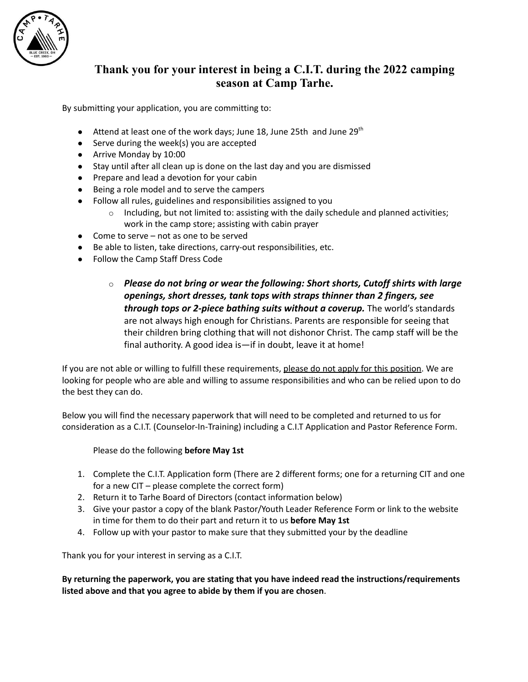

# **Thank you for your interest in being a C.I.T. during the 2022 camping season at Camp Tarhe.**

By submitting your application, you are committing to:

- $\bullet$  Attend at least one of the work days; June 18, June 25th and June 29<sup>th</sup>
- Serve during the week(s) you are accepted
- Arrive Monday by 10:00
- Stay until after all clean up is done on the last day and you are dismissed
- Prepare and lead a devotion for your cabin
- Being a role model and to serve the campers
- Follow all rules, guidelines and responsibilities assigned to you
	- $\circ$  Including, but not limited to: assisting with the daily schedule and planned activities; work in the camp store; assisting with cabin prayer
- Come to serve not as one to be served
- Be able to listen, take directions, carry-out responsibilities, etc.
- Follow the Camp Staff Dress Code
	- o *Please do not bring or wear the following: Short shorts, Cutoff shirts with large openings, short dresses, tank tops with straps thinner than 2 fingers, see through tops or 2-piece bathing suits without a coverup.* The world's standards are not always high enough for Christians. Parents are responsible for seeing that their children bring clothing that will not dishonor Christ. The camp staff will be the final authority. A good idea is—if in doubt, leave it at home!

If you are not able or willing to fulfill these requirements, please do not apply for this position. We are looking for people who are able and willing to assume responsibilities and who can be relied upon to do the best they can do.

Below you will find the necessary paperwork that will need to be completed and returned to us for consideration as a C.I.T. (Counselor-In-Training) including a C.I.T Application and Pastor Reference Form.

Please do the following **before May 1st**

- 1. Complete the C.I.T. Application form (There are 2 different forms; one for a returning CIT and one for a new CIT – please complete the correct form)
- 2. Return it to Tarhe Board of Directors (contact information below)
- 3. Give your pastor a copy of the blank Pastor/Youth Leader Reference Form or link to the website in time for them to do their part and return it to us **before May 1st**
- 4. Follow up with your pastor to make sure that they submitted your by the deadline

Thank you for your interest in serving as a C.I.T.

**By returning the paperwork, you are stating that you have indeed read the instructions/requirements listed above and that you agree to abide by them if you are chosen**.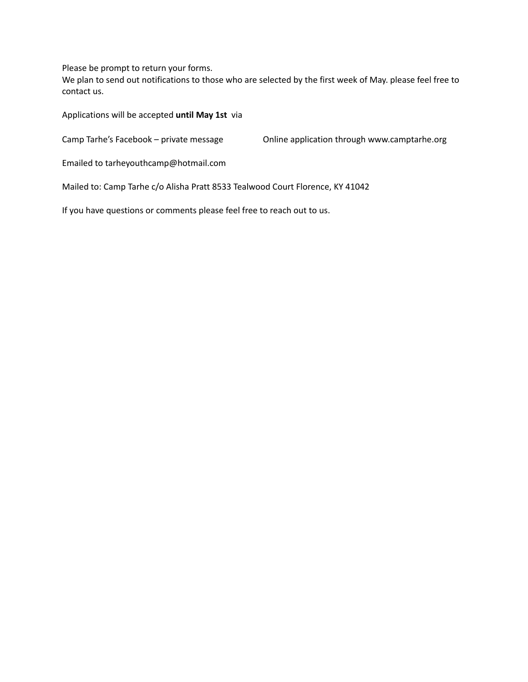Please be prompt to return your forms.

We plan to send out notifications to those who are selected by the first week of May. please feel free to contact us.

Applications will be accepted **until May 1st** via

Camp Tarhe's Facebook – private message Online application through www.camptarhe.org

Emailed to tarheyouthcamp@hotmail.com

Mailed to: Camp Tarhe c/o Alisha Pratt 8533 Tealwood Court Florence, KY 41042

If you have questions or comments please feel free to reach out to us.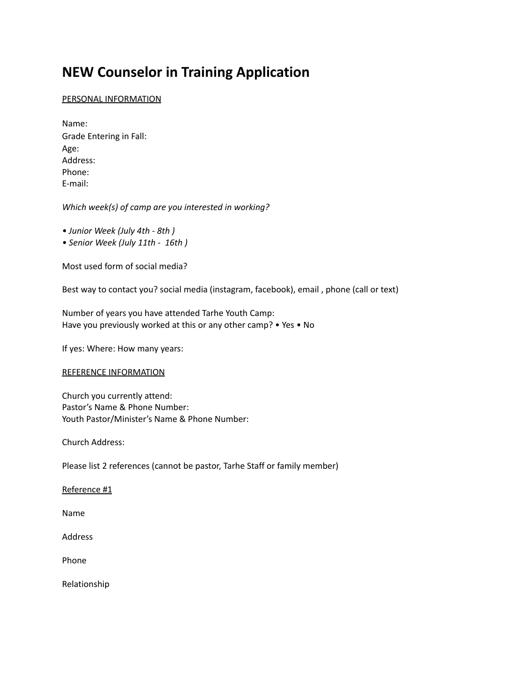# **NEW Counselor in Training Application**

### PERSONAL INFORMATION

Name: Grade Entering in Fall: Age: Address: Phone: E-mail:

*Which week(s) of camp are you interested in working?*

*• Junior Week (July 4th - 8th )*

*• Senior Week (July 11th - 16th )*

Most used form of social media?

Best way to contact you? social media (instagram, facebook), email , phone (call or text)

Number of years you have attended Tarhe Youth Camp: Have you previously worked at this or any other camp? • Yes • No

If yes: Where: How many years:

#### REFERENCE INFORMATION

Church you currently attend: Pastor's Name & Phone Number: Youth Pastor/Minister's Name & Phone Number:

Church Address:

Please list 2 references (cannot be pastor, Tarhe Staff or family member)

Reference #1

Name

Address

Phone

Relationship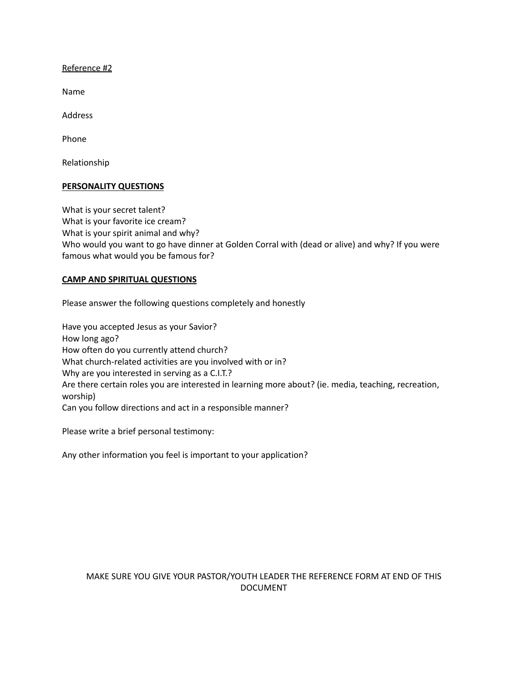Reference #2

Name

Address

Phone

Relationship

#### **PERSONALITY QUESTIONS**

What is your secret talent? What is your favorite ice cream? What is your spirit animal and why? Who would you want to go have dinner at Golden Corral with (dead or alive) and why? If you were famous what would you be famous for?

#### **CAMP AND SPIRITUAL QUESTIONS**

Please answer the following questions completely and honestly

Have you accepted Jesus as your Savior? How long ago? How often do you currently attend church? What church-related activities are you involved with or in? Why are you interested in serving as a C.I.T.? Are there certain roles you are interested in learning more about? (ie. media, teaching, recreation, worship) Can you follow directions and act in a responsible manner?

Please write a brief personal testimony:

Any other information you feel is important to your application?

# MAKE SURE YOU GIVE YOUR PASTOR/YOUTH LEADER THE REFERENCE FORM AT END OF THIS DOCUMENT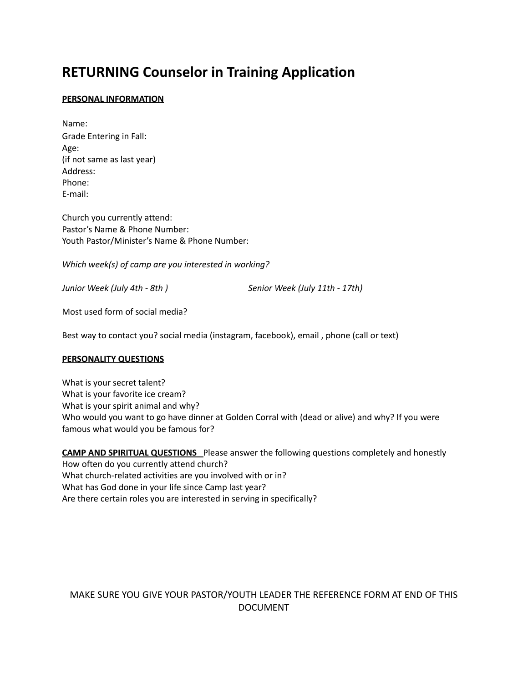# **RETURNING Counselor in Training Application**

### **PERSONAL INFORMATION**

Name: Grade Entering in Fall: Age: (if not same as last year) Address: Phone: E-mail:

Church you currently attend: Pastor's Name & Phone Number: Youth Pastor/Minister's Name & Phone Number:

*Which week(s) of camp are you interested in working?*

*Junior Week (July 4th - 8th ) Senior Week (July 11th - 17th)*

Most used form of social media?

Best way to contact you? social media (instagram, facebook), email , phone (call or text)

#### **PERSONALITY QUESTIONS**

What is your secret talent? What is your favorite ice cream? What is your spirit animal and why? Who would you want to go have dinner at Golden Corral with (dead or alive) and why? If you were famous what would you be famous for?

**CAMP AND SPIRITUAL QUESTIONS** Please answer the following questions completely and honestly How often do you currently attend church? What church-related activities are you involved with or in? What has God done in your life since Camp last year? Are there certain roles you are interested in serving in specifically?

# MAKE SURE YOU GIVE YOUR PASTOR/YOUTH LEADER THE REFERENCE FORM AT END OF THIS DOCUMENT